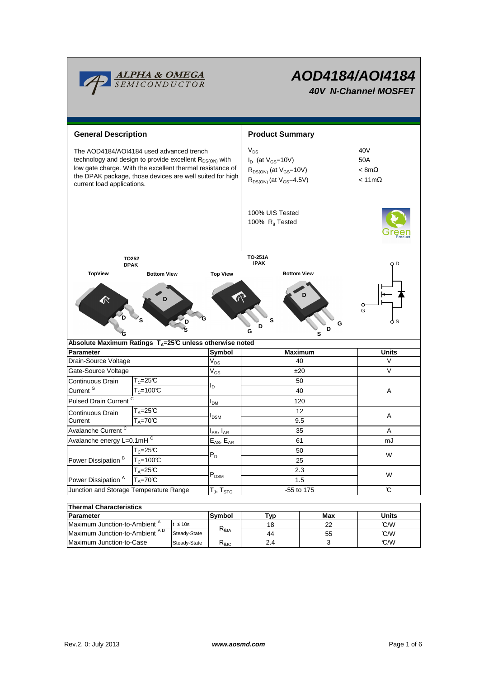

# **AOD4184/AOI4184 40V N-Channel MOSFET**

| <b>General Description</b>                                                                                                                                                                                                                                             |                                                                           |                           | <b>Product Summary</b>                                                                                      |                                                     |  |  |  |
|------------------------------------------------------------------------------------------------------------------------------------------------------------------------------------------------------------------------------------------------------------------------|---------------------------------------------------------------------------|---------------------------|-------------------------------------------------------------------------------------------------------------|-----------------------------------------------------|--|--|--|
| The AOD4184/AOI4184 used advanced trench<br>technology and design to provide excellent R <sub>DS(ON)</sub> with<br>low gate charge. With the excellent thermal resistance of<br>the DPAK package, those devices are well suited for high<br>current load applications. |                                                                           |                           | $V_{DS}$<br>$I_D$ (at $V_{GS}$ =10V)<br>$R_{DS(ON)}$ (at $V_{GS}$ =10V)<br>$R_{DS(ON)}$ (at $V_{GS}$ =4.5V) | 40V<br>50A<br>$< 8m\Omega$<br>$< 11 \text{m}\Omega$ |  |  |  |
|                                                                                                                                                                                                                                                                        |                                                                           |                           | 100% UIS Tested<br>100% R <sub>q</sub> Tested                                                               |                                                     |  |  |  |
| TO252                                                                                                                                                                                                                                                                  |                                                                           |                           | TO-251A<br><b>IPAK</b>                                                                                      | οD                                                  |  |  |  |
| <b>DPAK</b><br><b>TopView</b><br><b>Bottom View</b>                                                                                                                                                                                                                    |                                                                           | <b>Top View</b>           | <b>Bottom View</b>                                                                                          |                                                     |  |  |  |
|                                                                                                                                                                                                                                                                        | S                                                                         |                           | s<br>G<br>D<br>D<br>G<br>s                                                                                  | O<br>G<br>o s                                       |  |  |  |
| <b>Parameter</b>                                                                                                                                                                                                                                                       | Absolute Maximum Ratings $T_A = 25^\circ \text{C}$ unless otherwise noted | Symbol                    | <b>Maximum</b>                                                                                              | <b>Units</b>                                        |  |  |  |
| Drain-Source Voltage                                                                                                                                                                                                                                                   |                                                                           | $V_{DS}$                  | 40                                                                                                          | V                                                   |  |  |  |
| Gate-Source Voltage                                                                                                                                                                                                                                                    |                                                                           | $V_{GS}$                  | ±20                                                                                                         | $\vee$                                              |  |  |  |
| Continuous Drain                                                                                                                                                                                                                                                       | $T_c = 25C$                                                               |                           | 50                                                                                                          |                                                     |  |  |  |
| Current <sup>G</sup>                                                                                                                                                                                                                                                   | I <sub>D</sub><br>$T_c = 100C$                                            |                           | 40                                                                                                          | Α                                                   |  |  |  |
| Pulsed Drain Current <sup>C</sup>                                                                                                                                                                                                                                      |                                                                           | I <sub>DM</sub>           | 120                                                                                                         |                                                     |  |  |  |
| $\mathsf{T}_\mathsf{A}\texttt{=}25\mathfrak{C}$<br>Continuous Drain                                                                                                                                                                                                    |                                                                           |                           | 12                                                                                                          |                                                     |  |  |  |
| Current                                                                                                                                                                                                                                                                | $T_A = 70^\circ C$                                                        | $I_{DSM}$                 | 9.5                                                                                                         | A                                                   |  |  |  |
| Avalanche Current <sup>C</sup>                                                                                                                                                                                                                                         |                                                                           | $I_{AS}$ , $I_{AR}$       | 35                                                                                                          | A                                                   |  |  |  |
| Avalanche energy L=0.1mHC                                                                                                                                                                                                                                              |                                                                           | $E_{AS}$ , $E_{AR}$       | 61                                                                                                          | mJ                                                  |  |  |  |
|                                                                                                                                                                                                                                                                        | $T_c = 25C$                                                               |                           | 50                                                                                                          |                                                     |  |  |  |
| Power Dissipation <sup>B</sup>                                                                                                                                                                                                                                         | $T_c=100C$                                                                | $P_D$                     | 25                                                                                                          | W                                                   |  |  |  |
|                                                                                                                                                                                                                                                                        | $T_A = 25C$                                                               | $\mathsf{P}_\mathsf{DSM}$ | 2.3                                                                                                         | W                                                   |  |  |  |
| Power Dissipation <sup>A</sup>                                                                                                                                                                                                                                         | $T_A = 70^\circ C$                                                        |                           | 1.5                                                                                                         |                                                     |  |  |  |
| Junction and Storage Temperature Range                                                                                                                                                                                                                                 |                                                                           | $T_J$ , $T_{STG}$         | -55 to 175                                                                                                  | C                                                   |  |  |  |
|                                                                                                                                                                                                                                                                        |                                                                           |                           |                                                                                                             |                                                     |  |  |  |
| <b>Thermal Characteristics</b>                                                                                                                                                                                                                                         |                                                                           |                           |                                                                                                             |                                                     |  |  |  |

| THEIHAI UHAIAUCHSUUS                      |                      |                                                    |     |       |     |  |  |  |
|-------------------------------------------|----------------------|----------------------------------------------------|-----|-------|-----|--|--|--|
| Parameter                                 | <b>Svmbol</b><br>Tvp |                                                    | Max | Units |     |  |  |  |
| Maximum Junction-to-Ambient <sup>"</sup>  | $\leq 10s$           |                                                    | 18  | つつ    | C/W |  |  |  |
| Maximum Junction-to-Ambient <sup>AD</sup> | Steady-State         | $R_{\theta$ JA                                     | 44  | 55    | C/W |  |  |  |
| Maximum Junction-to-Case                  | Steady-State         | $\mathsf{r}_{\scriptscriptstyle{\theta\text{JC}}}$ | 2.4 |       | C/W |  |  |  |
|                                           |                      |                                                    |     |       |     |  |  |  |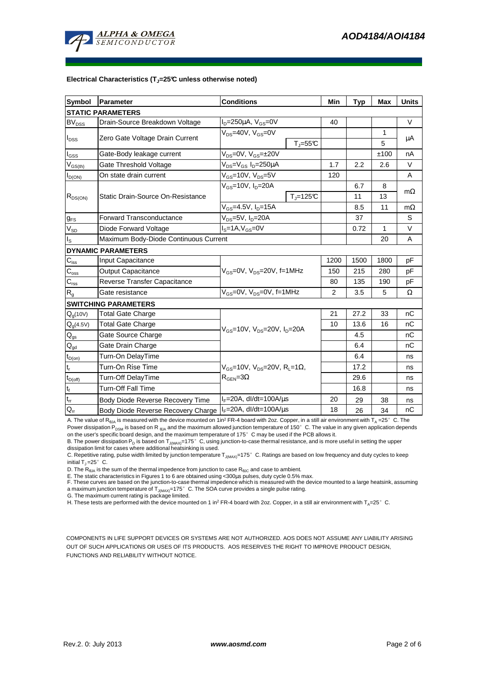

#### **Electrical Characteristics (TJ=25°C unless otherwise noted)**

| <b>Symbol</b>                          | Parameter                             | <b>Conditions</b>                                                                      |                              | Min  | <b>Typ</b> | Max  | <b>Units</b> |  |  |
|----------------------------------------|---------------------------------------|----------------------------------------------------------------------------------------|------------------------------|------|------------|------|--------------|--|--|
| <b>STATIC PARAMETERS</b>               |                                       |                                                                                        |                              |      |            |      |              |  |  |
| <b>BV<sub>DSS</sub></b>                | Drain-Source Breakdown Voltage        | $I_D = 250 \mu A$ , $V_{GS} = 0V$                                                      |                              | 40   |            |      | $\vee$       |  |  |
| $I_{DSS}$                              | Zero Gate Voltage Drain Current       | $V_{DS}$ =40V, $V_{GS}$ =0V                                                            |                              |      |            | 1    |              |  |  |
|                                        |                                       |                                                                                        | $T_{\text{J}} = 55^{\circ}C$ |      |            | 5    | μA           |  |  |
| l <sub>GSS</sub>                       | Gate-Body leakage current             | $V_{DS} = 0V$ , $V_{GS} = \pm 20V$                                                     |                              |      |            | ±100 | nA           |  |  |
| $V_{GS(th)}$                           | Gate Threshold Voltage                | V <sub>DS</sub> =V <sub>GS</sub> I <sub>D</sub> =250µA                                 |                              | 1.7  | 2.2        | 2.6  | $\vee$       |  |  |
| $I_{D(ON)}$                            | On state drain current                | $V_{GS}$ =10V, $V_{DS}$ =5V                                                            |                              | 120  |            |      | A            |  |  |
| $R_{DS(ON)}$                           | Static Drain-Source On-Resistance     | $V_{GS}$ =10V, $I_D$ =20A                                                              |                              |      | 6.7        | 8    |              |  |  |
|                                        |                                       |                                                                                        | $T_i = 125C$                 |      | 11         | 13   | $m\Omega$    |  |  |
|                                        |                                       | $V_{GS}$ =4.5V, $I_{D}$ =15A                                                           |                              |      | 8.5        | 11   | $m\Omega$    |  |  |
| $g_{FS}$                               | <b>Forward Transconductance</b>       | $V_{DS}$ =5V, $I_D$ =20A                                                               |                              |      | 37         |      | S            |  |  |
| $V_{SD}$                               | Diode Forward Voltage                 | $IS=1A, VGS=0V$                                                                        |                              |      | 0.72       | 1    | $\vee$       |  |  |
| ıs.                                    | Maximum Body-Diode Continuous Current |                                                                                        |                              |      |            | 20   | A            |  |  |
|                                        | <b>DYNAMIC PARAMETERS</b>             |                                                                                        |                              |      |            |      |              |  |  |
| $C_{\text{iss}}$                       | <b>Input Capacitance</b>              | $V_{GS}$ =0V, $V_{DS}$ =20V, f=1MHz                                                    |                              | 1200 | 1500       | 1800 | pF           |  |  |
| $\mathsf{C}_{\mathrm{oss}}$            | <b>Output Capacitance</b>             |                                                                                        |                              | 150  | 215        | 280  | pF           |  |  |
| $C_{\rm rss}$                          | Reverse Transfer Capacitance          |                                                                                        |                              | 80   | 135        | 190  | pF           |  |  |
| R <sub>g</sub>                         | Gate resistance                       | $V_{GS}$ =0V, $V_{DS}$ =0V, f=1MHz                                                     |                              | 2    | 3.5        | 5    | Ω            |  |  |
|                                        | <b>SWITCHING PARAMETERS</b>           |                                                                                        |                              |      |            |      |              |  |  |
| Q <sub>g</sub> (10V)                   | Total Gate Charge                     | $V_{GS}$ =10V, $V_{DS}$ =20V, $I_{D}$ =20A                                             |                              | 21   | 27.2       | 33   | nC           |  |  |
| $Q_q(4.5V)$                            | <b>Total Gate Charge</b>              |                                                                                        |                              | 10   | 13.6       | 16   | nC           |  |  |
| $\mathsf{Q}_{\underline{\mathsf{gs}}}$ | Gate Source Charge                    |                                                                                        |                              |      | 4.5        |      | nС           |  |  |
| $\mathsf{Q}_{\mathsf{gd}}$             | Gate Drain Charge                     |                                                                                        |                              |      | 6.4        |      | nC           |  |  |
| $t_{D(on)}$                            | Turn-On DelayTime                     |                                                                                        |                              |      | 6.4        |      | ns           |  |  |
| $\mathfrak{t}_{\mathsf{r}}$            | Turn-On Rise Time                     | $V_{GS}$ =10V, V <sub>DS</sub> =20V, R <sub>L</sub> =1Ω,<br>$R_{\text{GEN}} = 3\Omega$ |                              |      | 17.2       |      | ns           |  |  |
| $t_{D(off)}$                           | Turn-Off DelayTime                    |                                                                                        |                              |      | 29.6       |      | ns           |  |  |
| $t_f$                                  | <b>Turn-Off Fall Time</b>             |                                                                                        |                              |      | 16.8       |      | ns           |  |  |
| $\mathfrak{t}_{\text{rr}}$             | Body Diode Reverse Recovery Time      | $I_F = 20A$ , dl/dt=100A/ $\mu$ s                                                      |                              | 20   | 29         | 38   | ns           |  |  |
| $Q_{rr}$                               | Body Diode Reverse Recovery Charge    | $I_F = 20A$ , dl/dt=100A/ $\mu$ s                                                      |                              | 18   | 26         | 34   | nC           |  |  |

A. The value of R<sub>BJA</sub> is measured with the device mounted on 1in<sup>2</sup> FR-4 board with 2oz. Copper, in a still air environment with T<sub>A</sub> =25°C. The Power dissipation P<sub>DSM</sub> is based on R <sub>θJA</sub> and the maximum allowed junction temperature of 150°C. The value in any given application depends on the user's specific board design, and the maximum temperature of 175°C may be used if the PCB allows it.

B. The power dissipation P<sub>D</sub> is based on T<sub>JMAX)</sub>=175°C, using junction-to-case thermal resistance, and is more useful in setting the upper<br>dissipation limit for cases where additional heatsinking is used.

C. Repetitive rating, pulse width limited by junction temperature  $T_{J(MAX)}$ =175°C. Ratings are based on low frequency and duty cycles to keep initial  $T_1 = 25^\circ$  C.

D. The  $R_{\theta_{\text{A}}A}$  is the sum of the thermal impedence from junction to case  $R_{\theta_{\text{A}}C}$  and case to ambient.

E. The static characteristics in Figures 1 to 6 are obtained using <300µs pulses, duty cycle 0.5% max.<br>F. These curves are based on the junction-to-case thermal impedence which is measured with the device mounted to a larg a maximum junction temperature of  $T_{J(MAX)}$ =175° C. The SOA curve provides a single pulse rating.

G. The maximum current rating is package limited.

H. These tests are performed with the device mounted on 1 in<sup>2</sup> FR-4 board with 2oz. Copper, in a still air environment with T<sub>A</sub>=25°C.

COMPONENTS IN LIFE SUPPORT DEVICES OR SYSTEMS ARE NOT AUTHORIZED. AOS DOES NOT ASSUME ANY LIABILITY ARISING OUT OF SUCH APPLICATIONS OR USES OF ITS PRODUCTS. AOS RESERVES THE RIGHT TO IMPROVE PRODUCT DESIGN, FUNCTIONS AND RELIABILITY WITHOUT NOTICE.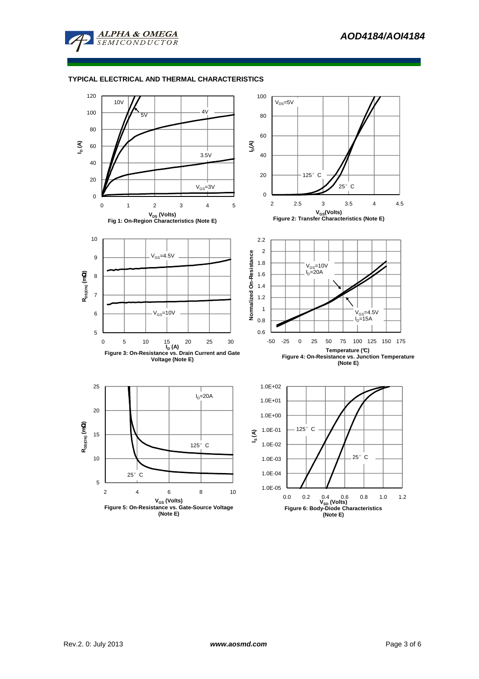

# **TYPICAL ELECTRICAL AND THERMAL CHARACTERISTICS**

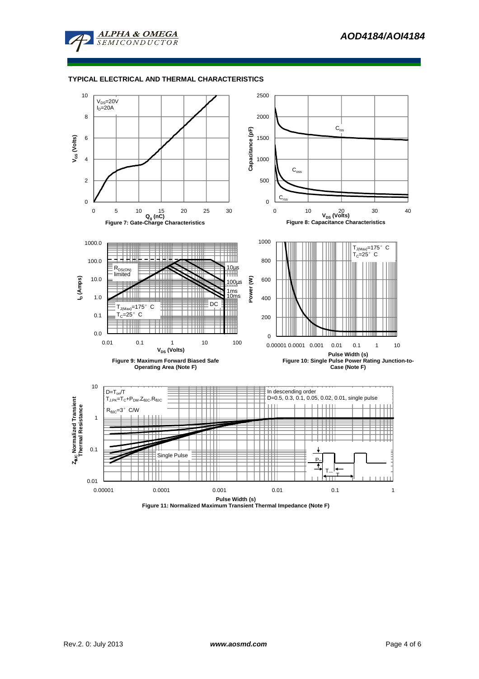

# **TYPICAL ELECTRICAL AND THERMAL CHARACTERISTICS**



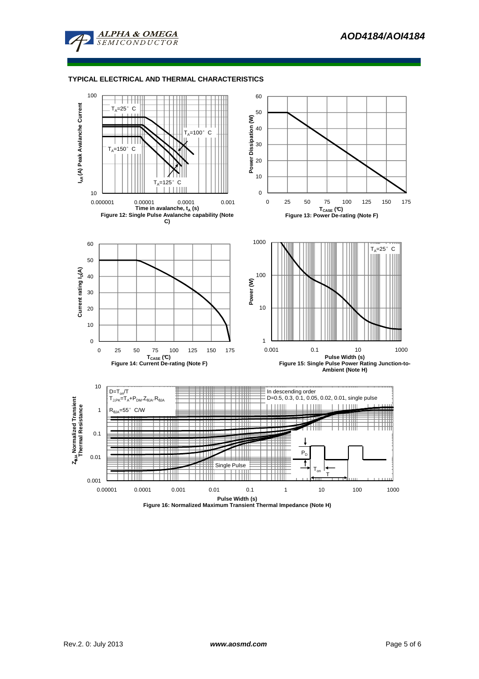

## **TYPICAL ELECTRICAL AND THERMAL CHARACTERISTICS**